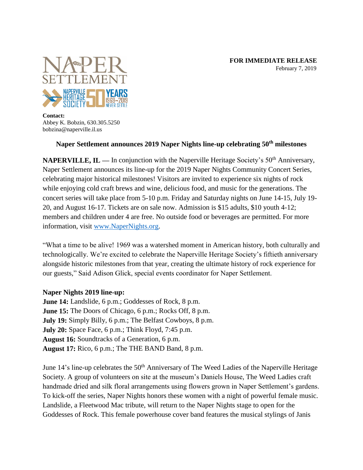

**Contact:** Abbey K. Bobzin, 630.305.5250 bobzina@naperville.il.us

## **Naper Settlement announces 2019 Naper Nights line-up celebrating 50th milestones**

**NAPERVILLE, IL —** In conjunction with the Naperville Heritage Society's 50<sup>th</sup> Anniversary, Naper Settlement announces its line-up for the 2019 Naper Nights Community Concert Series, celebrating major historical milestones! Visitors are invited to experience six nights of rock while enjoying cold craft brews and wine, delicious food, and music for the generations. The concert series will take place from 5-10 p.m. Friday and Saturday nights on June 14-15, July 19- 20, and August 16-17. Tickets are on sale now. Admission is \$15 adults, \$10 youth 4-12; members and children under 4 are free. No outside food or beverages are permitted. For more information, visit [www.NaperNights.org.](http://www.napernights.org/)

"What a time to be alive! 1969 was a watershed moment in American history, both culturally and technologically. We're excited to celebrate the Naperville Heritage Society's fiftieth anniversary alongside historic milestones from that year, creating the ultimate history of rock experience for our guests," Said Adison Glick, special events coordinator for Naper Settlement.

## **Naper Nights 2019 line-up:**

**June 14:** Landslide, 6 p.m.; Goddesses of Rock, 8 p.m. **June 15:** The Doors of Chicago, 6 p.m.; Rocks Off, 8 p.m. **July 19:** Simply Billy, 6 p.m.; The Belfast Cowboys, 8 p.m. **July 20:** Space Face, 6 p.m.; Think Floyd, 7:45 p.m. **August 16:** Soundtracks of a Generation, 6 p.m. **August 17:** Rico, 6 p.m.; The THE BAND Band, 8 p.m.

June 14's line-up celebrates the 50<sup>th</sup> Anniversary of The Weed Ladies of the Naperville Heritage Society. A group of volunteers on site at the museum's Daniels House, The Weed Ladies craft handmade dried and silk floral arrangements using flowers grown in Naper Settlement's gardens. To kick-off the series, Naper Nights honors these women with a night of powerful female music. Landslide, a Fleetwood Mac tribute, will return to the Naper Nights stage to open for the Goddesses of Rock. This female powerhouse cover band features the musical stylings of Janis